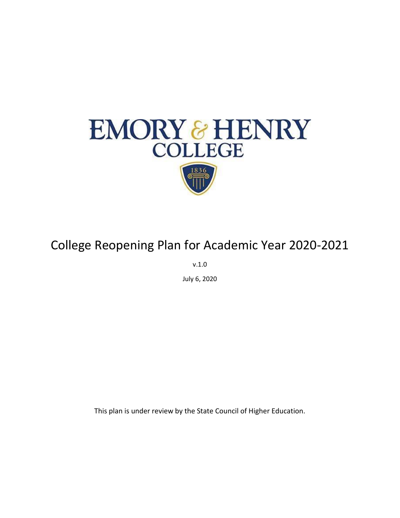

# College Reopening Plan for Academic Year 2020-2021

v.1.0

July 6, 2020

This plan is under review by the State Council of Higher Education.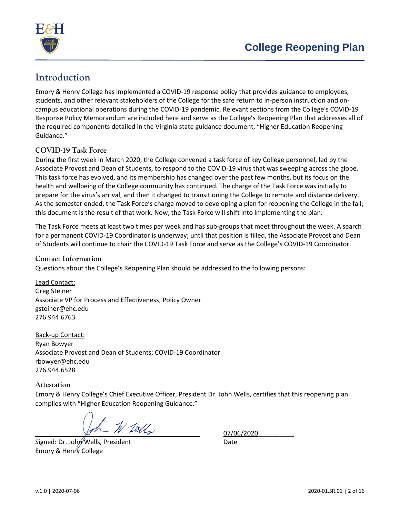

# **Introduction**

Emory & Henry College has implemented a COVID-19 response policy that provides guidance to employees, students, and other relevant stakeholders of the College for the safe return to in-person instruction and oncampus educational operations during the COVID-19 pandemic. Relevant sections from the College's COVID-19 Response Policy Memorandum are included here and serve as the College's Reopening Plan that addresses all of the required components detailed in the Virginia state guidance document, "Higher Education Reopening Guidance."

#### **COVID-19 Task Force**

During the first week in March 2020, the College convened a task force of key College personnel, led by the Associate Provost and Dean of Students, to respond to the COVID-19 virus that was sweeping across the globe. This task force has evolved, and its membership has changed over the past few months, but its focus on the health and wellbeing of the College community has continued. The charge of the Task Force was initially to prepare for the virus's arrival, and then it changed to transitioning the College to remote and distance delivery. As the semester ended, the Task Force's charge moved to developing a plan for reopening the College in the fall; this document is the result of that work. Now, the Task Force will shift into implementing the plan.

The Task Force meets at least two times per week and has sub-groups that meet throughout the week. A search for a permanent COVID-19 Coordinator is underway; until that position is filled, the Associate Provost and Dean of Students will continue to chair the COVID-19 Task Force and serve as the College's COVID-19 Coordinator.

#### **Contact Information**

Questions about the College's Reopening Plan should be addressed to the following persons:

Lead Contact: Greg Steiner Associate VP for Process and Effectiveness; Policy Owner gsteiner@ehc.edu 276.944.6763

Back-up Contact: Ryan Bowyer Associate Provost and Dean of Students; COVID-19 Coordinator rbowyer@ehc.edu 276.944.6528

#### **Attestation**

Emory & Henry College's Chief Executive Officer, President Dr. John Wells, certifies that this reopening plan complies with "Higher Education Reopening Guidance."

 $-M$  Dells  $-$  07/06/2020

Signed: Dr. John Wells, President Date Emory & Henry College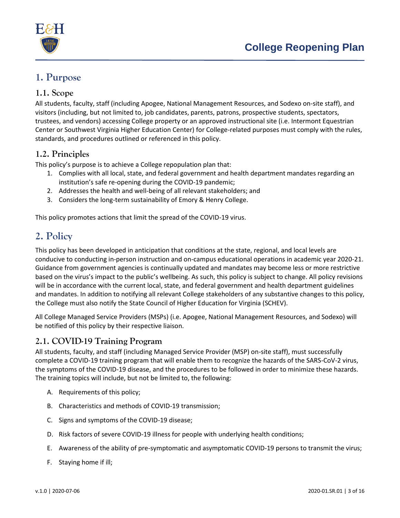

# **1. Purpose**

### <span id="page-2-1"></span>**1.1. Scope**

All students, faculty, staff (including Apogee, National Management Resources, and Sodexo on-site staff), and visitors (including, but not limited to, job candidates, parents, patrons, prospective students, spectators, trustees, and vendors) accessing College property or an approved instructional site (i.e. Intermont Equestrian Center or Southwest Virginia Higher Education Center) for College-related purposes must comply with the rules, standards, and procedures outlined or referenced in this policy.

# **1.2. Principles**

This policy's purpose is to achieve a College repopulation plan that:

- 1. Complies with all local, state, and federal government and health department mandates regarding an institution's safe re-opening during the COVID-19 pandemic;
- 2. Addresses the health and well-being of all relevant stakeholders; and
- 3. Considers the long-term sustainability of Emory & Henry College.

This policy promotes actions that limit the spread of the COVID-19 virus.

# **2. Policy**

This policy has been developed in anticipation that conditions at the state, regional, and local levels are conducive to conducting in-person instruction and on-campus educational operations in academic year 2020-21. Guidance from government agencies is continually updated and mandates may become less or more restrictive based on the virus's impact to the public's wellbeing. As such, this policy is subject to change. All policy revisions will be in accordance with the current local, state, and federal government and health department guidelines and mandates. In addition to notifying all relevant College stakeholders of any substantive changes to this policy, the College must also notify the State Council of Higher Education for Virginia (SCHEV).

All College Managed Service Providers (MSPs) (i.e. Apogee, National Management Resources, and Sodexo) will be notified of this policy by their respective liaison.

# <span id="page-2-0"></span>**2.1. COVID-19 Training Program**

All students, faculty, and staff (including Managed Service Provider (MSP) on-site staff), must successfully complete a COVID-19 training program that will enable them to recognize the hazards of the SARS-CoV-2 virus, the symptoms of the COVID-19 disease, and the procedures to be followed in order to minimize these hazards. The training topics will include, but not be limited to, the following:

- A. Requirements of this policy;
- B. Characteristics and methods of COVID-19 transmission;
- C. Signs and symptoms of the COVID-19 disease;
- D. Risk factors of severe COVID-19 illness for people with underlying health conditions;
- E. Awareness of the ability of pre-symptomatic and asymptomatic COVID-19 persons to transmit the virus;
- F. Staying home if ill;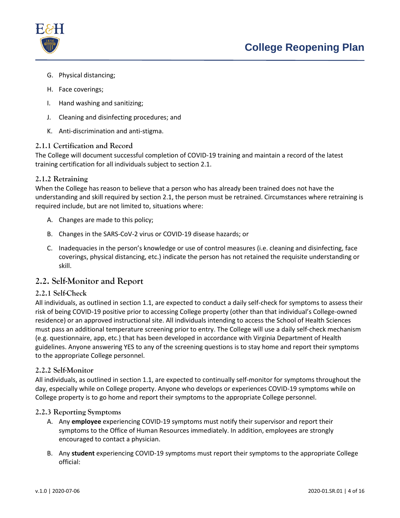

- G. Physical distancing;
- H. Face coverings;
- I. Hand washing and sanitizing;
- J. Cleaning and disinfecting procedures; and
- K. Anti-discrimination and anti-stigma.

#### **2.1.1 Certification and Record**

The College will document successful completion of COVID-19 training and maintain a record of the latest training certification for all individuals subject to section [2.1.](#page-2-0)

#### **2.1.2 Retraining**

When the College has reason to believe that a person who has already been trained does not have the understanding and skill required by section [2.1,](#page-2-0) the person must be retrained. Circumstances where retraining is required include, but are not limited to, situations where:

- A. Changes are made to this policy;
- B. Changes in the SARS-CoV-2 virus or COVID-19 disease hazards; or
- C. Inadequacies in the person's knowledge or use of control measures (i.e. cleaning and disinfecting, face coverings, physical distancing, etc.) indicate the person has not retained the requisite understanding or skill.

## **2.2. Self-Monitor and Report**

#### **2.2.1 Self-Check**

All individuals, as outlined in section 1.1, are expected to conduct a daily self-check for symptoms to assess their risk of being COVID-19 positive prior to accessing College property (other than that individual's College-owned residence) or an approved instructional site. All individuals intending to access the School of Health Sciences must pass an additional temperature screening prior to entry. The College will use a daily self-check mechanism (e.g. questionnaire, app, etc.) that has been developed in accordance with Virginia Department of Health guidelines. Anyone answering YES to any of the screening questions is to stay home and report their symptoms to the appropriate College personnel.

#### **2.2.2 Self-Monitor**

All individuals, as outlined in section 1.1, are expected to continually self-monitor for symptoms throughout the day, especially while on College property. Anyone who develops or experiences COVID-19 symptoms while on College property is to go home and report their symptoms to the appropriate College personnel.

#### <span id="page-3-0"></span>**2.2.3 Reporting Symptoms**

- A. Any **employee** experiencing COVID-19 symptoms must notify their supervisor and report their symptoms to the Office of Human Resources immediately. In addition, employees are strongly encouraged to contact a physician.
- B. Any **student** experiencing COVID-19 symptoms must report their symptoms to the appropriate College official: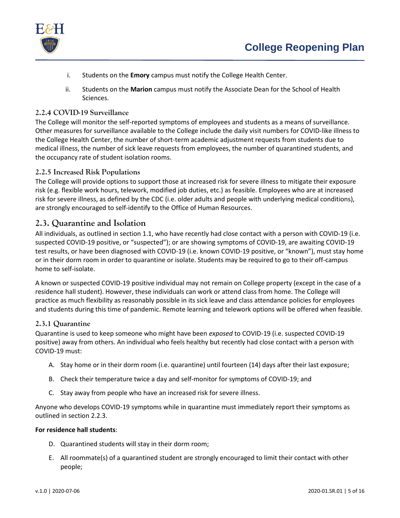

- i. Students on the **Emory** campus must notify the College Health Center.
- ii. Students on the **Marion** campus must notify the Associate Dean for the School of Health Sciences.

#### **2.2.4 COVID-19 Surveillance**

The College will monitor the self-reported symptoms of employees and students as a means of surveillance. Other measures for surveillance available to the College include the daily visit numbers for COVID-like illness to the College Health Center, the number of short-term academic adjustment requests from students due to medical illness, the number of sick leave requests from employees, the number of quarantined students, and the occupancy rate of student isolation rooms.

#### **2.2.5 Increased Risk Populations**

The College will provide options to support those at increased risk for severe illness to mitigate their exposure risk (e.g. flexible work hours, telework, modified job duties, etc.) as feasible. Employees who are at increased risk for severe illness, as defined by the CDC (i.e. older adults and people with underlying medical conditions), are strongly encouraged to self-identify to the Office of Human Resources.

## **2.3. Quarantine and Isolation**

All individuals, as outlined in section 1.1, who have recently ha[d close contact](https://www.cdc.gov/coronavirus/2019-ncov/php/public-health-recommendations.html) with a person with COVID-19 (i.e. suspected COVID-19 positive, or "suspected"); or are showing [symptoms](https://www.cdc.gov/coronavirus/2019-ncov/symptoms-testing/symptoms.html) of COVID-19, are awaiting COVID-19 test results, or have been diagnosed with COVID-19 (i.e. known COVID-19 positive, or "known"), must stay home or in their dorm room in order to [quarantine or isolate.](https://www.cdc.gov/coronavirus/2019-ncov/if-you-are-sick/quarantine-isolation.html) Students may be required to go to their off-campus home to self-isolate.

A known or suspected COVID-19 positive individual may not remain on College property (except in the case of a residence hall student). However, these individuals can work or attend class from home. The College will practice as much flexibility as reasonably possible in its sick leave and class attendance policies for employees and students during this time of pandemic. Remote learning and telework options will be offered when feasible.

#### **2.3.1 Quarantine**

Quarantine is used to keep someone who might have been *exposed* to COVID-19 (i.e. suspected COVID-19 positive) away from others. An individual who feels healthy but recently had close contact with a person with COVID-19 must:

- A. Stay home or in their dorm room (i.e. quarantine) until fourteen (14) days after their last exposure;
- B. Check their temperature twice a day and self-monitor for symptoms of COVID-19; and
- C. Stay away from people who have an increased risk for severe illness.

Anyone who develops COVID-19 symptoms while in quarantine must immediately report their symptoms as outlined in section [2.2.3.](#page-3-0)

#### **For residence hall students**:

- D. Quarantined students will stay in their dorm room;
- E. All roommate(s) of a quarantined student are strongly encouraged to limit their contact with other people;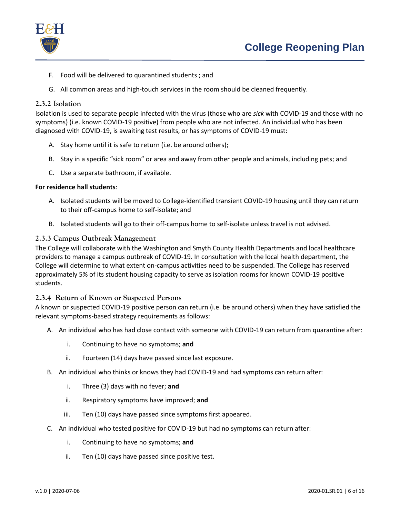

- F. Food will be delivered to quarantined students ; and
- G. All common areas and high-touch services in the room should be cleaned frequently.

#### **2.3.2 Isolation**

Isolation is used to separate people infected with the virus (those who are *sick* with COVID-19 and those with no symptoms) (i.e. known COVID-19 positive) from people who are not infected. An individual who has been diagnosed with COVID-19, is awaiting test results, or has symptoms of COVID-19 must:

- A. Stay home until it is safe to return (i.e. be around others);
- B. Stay in a specific "sick room" or area and away from other people and animals, including pets; and
- C. Use a separate bathroom, if available.

#### **For residence hall students**:

- A. Isolated students will be moved to College-identified transient COVID-19 housing until they can return to their off-campus home to self-isolate; and
- B. Isolated students will go to their off-campus home to self-isolate unless travel is not advised.

#### **2.3.3 Campus Outbreak Management**

The College will collaborate with the Washington and Smyth County Health Departments and local healthcare providers to manage a campus outbreak of COVID-19. In consultation with the local health department, the College will determine to what extent on-campus activities need to be suspended. The College has reserved approximately 5% of its student housing capacity to serve as isolation rooms for known COVID-19 positive students.

#### **2.3.4 Return of Known or Suspected Persons**

A known or suspected COVID-19 positive person can return (i.e. be around others) when they have satisfied the relevant symptoms-based strategy requirements as follows:

- A. An individual who has had close contact with someone with COVID-19 can return from quarantine after:
	- i. Continuing to have no symptoms; **and**
	- ii. Fourteen (14) days have passed since last exposure.
- B. An individual who thinks or knows they had COVID-19 and had symptoms can return after:
	- i. Three (3) days with no fever; **and**
	- ii. Respiratory symptoms have improved; **and**
	- iii. Ten (10) days have passed since symptoms first appeared.
- C. An individual who tested positive for COVID-19 but had no symptoms can return after:
	- i. Continuing to have no symptoms; **and**
	- ii. Ten (10) days have passed since positive test.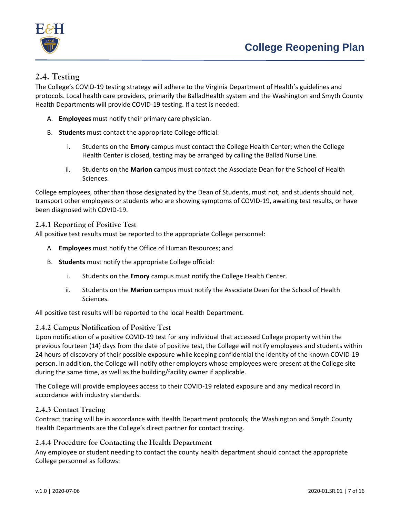

# **2.4. Testing**

The College's COVID-19 testing strategy will adhere to the Virginia Department of Health's guidelines and protocols. Local health care providers, primarily the BalladHealth system and the Washington and Smyth County Health Departments will provide COVID-19 testing. If a test is needed:

- A. **Employees** must notify their primary care physician.
- B. **Students** must contact the appropriate College official:
	- i. Students on the **Emory** campus must contact the College Health Center; when the College Health Center is closed, testing may be arranged by calling the Ballad Nurse Line.
	- ii. Students on the **Marion** campus must contact the Associate Dean for the School of Health Sciences.

College employees, other than those designated by the Dean of Students, must not, and students should not, transport other employees or students who are showing symptoms of COVID-19, awaiting test results, or have been diagnosed with COVID-19.

#### **2.4.1 Reporting of Positive Test**

All positive test results must be reported to the appropriate College personnel:

- A. **Employees** must notify the Office of Human Resources; and
- B. **Students** must notify the appropriate College official:
	- i. Students on the **Emory** campus must notify the College Health Center.
	- ii. Students on the **Marion** campus must notify the Associate Dean for the School of Health Sciences.

All positive test results will be reported to the local Health Department.

#### **2.4.2 Campus Notification of Positive Test**

Upon notification of a positive COVID-19 test for any individual that accessed College property within the previous fourteen (14) days from the date of positive test, the College will notify employees and students within 24 hours of discovery of their possible exposure while keeping confidential the identity of the known COVID-19 person. In addition, the College will notify other employers whose employees were present at the College site during the same time, as well as the building/facility owner if applicable.

The College will provide employees access to their COVID-19 related exposure and any medical record in accordance with industry standards.

#### **2.4.3 Contact Tracing**

Contract tracing will be in accordance with Health Department protocols; the Washington and Smyth County Health Departments are the College's direct partner for contact tracing.

#### **2.4.4 Procedure for Contacting the Health Department**

Any employee or student needing to contact the county health department should contact the appropriate College personnel as follows: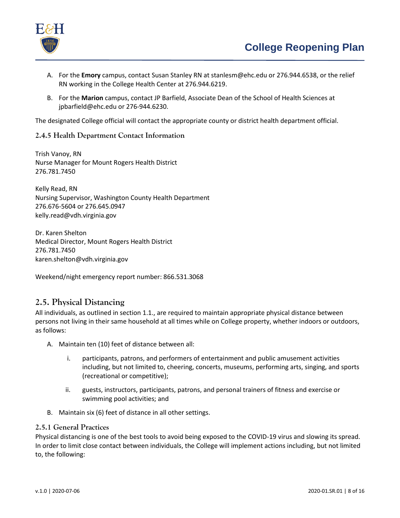

- A. For the **Emory** campus, contact Susan Stanley RN at stanlesm@ehc.edu or 276.944.6538, or the relief RN working in the College Health Center at 276.944.6219.
- B. For the **Marion** campus, contact JP Barfield, Associate Dean of the School of Health Sciences at jpbarfield@ehc.edu or 276-944.6230.

The designated College official will contact the appropriate county or district health department official.

#### **2.4.5 Health Department Contact Information**

Trish Vanoy, RN Nurse Manager for Mount Rogers Health District 276.781.7450

Kelly Read, RN Nursing Supervisor, Washington County Health Department 276.676-5604 or 276.645.0947 kelly.read@vdh.virginia.gov

Dr. Karen Shelton Medical Director, Mount Rogers Health District 276.781.7450 karen.shelton@vdh.virginia.gov

Weekend/night emergency report number: 866.531.3068

#### **2.5. Physical Distancing**

All individuals, as outlined in section 1.1., are required to maintain appropriate physical distance between persons not living in their same household at all times while on College property, whether indoors or outdoors, as follows:

- A. Maintain ten (10) feet of distance between all:
	- i. participants, patrons, and performers of entertainment and public amusement activities including, but not limited to, cheering, concerts, museums, performing arts, singing, and sports (recreational or competitive);
	- ii. guests, instructors, participants, patrons, and personal trainers of fitness and exercise or swimming pool activities; and
- B. Maintain six (6) feet of distance in all other settings.

#### **2.5.1 General Practices**

Physical distancing is one of the best tools to avoid being exposed to the COVID-19 virus and slowing its spread. In order to limit close contact between individuals, the College will implement actions including, but not limited to, the following: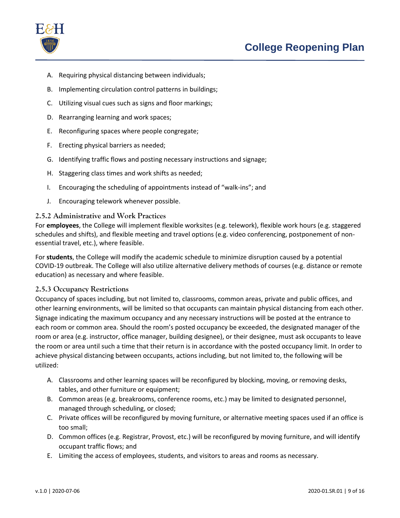

- A. Requiring physical distancing between individuals;
- B. Implementing circulation control patterns in buildings;
- C. Utilizing visual cues such as signs and floor markings;
- D. Rearranging learning and work spaces;
- E. Reconfiguring spaces where people congregate;
- F. Erecting physical barriers as needed;
- G. Identifying traffic flows and posting necessary instructions and signage;
- H. Staggering class times and work shifts as needed;
- I. Encouraging the scheduling of appointments instead of "walk-ins"; and
- J. Encouraging telework whenever possible.

#### **2.5.2 Administrative and Work Practices**

For **employees**, the College will implement flexible worksites (e.g. telework), flexible work hours (e.g. staggered schedules and shifts), and flexible meeting and travel options (e.g. video conferencing, postponement of nonessential travel, etc.), where feasible.

For **students**, the College will modify the academic schedule to minimize disruption caused by a potential COVID-19 outbreak. The College will also utilize alternative delivery methods of courses (e.g. distance or remote education) as necessary and where feasible.

#### **2.5.3 Occupancy Restrictions**

Occupancy of spaces including, but not limited to, classrooms, common areas, private and public offices, and other learning environments, will be limited so that occupants can maintain physical distancing from each other. Signage indicating the maximum occupancy and any necessary instructions will be posted at the entrance to each room or common area. Should the room's posted occupancy be exceeded, the designated manager of the room or area (e.g. instructor, office manager, building designee), or their designee, must ask occupants to leave the room or area until such a time that their return is in accordance with the posted occupancy limit. In order to achieve physical distancing between occupants, actions including, but not limited to, the following will be utilized:

- A. Classrooms and other learning spaces will be reconfigured by blocking, moving, or removing desks, tables, and other furniture or equipment;
- B. Common areas (e.g. breakrooms, conference rooms, etc.) may be limited to designated personnel, managed through scheduling, or closed;
- C. Private offices will be reconfigured by moving furniture, or alternative meeting spaces used if an office is too small;
- D. Common offices (e.g. Registrar, Provost, etc.) will be reconfigured by moving furniture, and will identify occupant traffic flows; and
- E. Limiting the access of employees, students, and visitors to areas and rooms as necessary.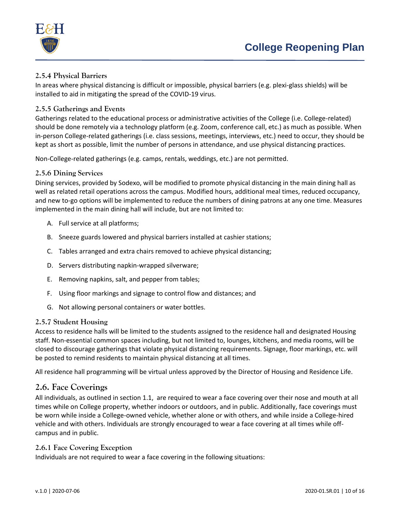



#### **2.5.4 Physical Barriers**

In areas where physical distancing is difficult or impossible, physical barriers (e.g. plexi-glass shields) will be installed to aid in mitigating the spread of the COVID-19 virus.

#### **2.5.5 Gatherings and Events**

Gatherings related to the educational process or administrative activities of the College (i.e. College-related) should be done remotely via a technology platform (e.g. Zoom, conference call, etc.) as much as possible. When in-person College-related gatherings (i.e. class sessions, meetings, interviews, etc.) need to occur, they should be kept as short as possible, limit the number of persons in attendance, and use physical distancing practices.

Non-College-related gatherings (e.g. camps, rentals, weddings, etc.) are not permitted.

#### **2.5.6 Dining Services**

Dining services, provided by Sodexo, will be modified to promote physical distancing in the main dining hall as well as related retail operations across the campus. Modified hours, additional meal times, reduced occupancy, and new to-go options will be implemented to reduce the numbers of dining patrons at any one time. Measures implemented in the main dining hall will include, but are not limited to:

- A. Full service at all platforms;
- B. Sneeze guards lowered and physical barriers installed at cashier stations;
- C. Tables arranged and extra chairs removed to achieve physical distancing;
- D. Servers distributing napkin-wrapped silverware;
- E. Removing napkins, salt, and pepper from tables;
- F. Using floor markings and signage to control flow and distances; and
- G. Not allowing personal containers or water bottles.

#### **2.5.7 Student Housing**

Access to residence halls will be limited to the students assigned to the residence hall and designated Housing staff. Non-essential common spaces including, but not limited to, lounges, kitchens, and media rooms, will be closed to discourage gatherings that violate physical distancing requirements. Signage, floor markings, etc. will be posted to remind residents to maintain physical distancing at all times.

All residence hall programming will be virtual unless approved by the Director of Housing and Residence Life.

#### **2.6. Face Coverings**

All individuals, as outlined in section [1.1,](#page-2-1) are required to wear a face covering over their nose and mouth at all times while on College property, whether indoors or outdoors, and in public. Additionally, face coverings must be worn while inside a College-owned vehicle, whether alone or with others, and while inside a College-hired vehicle and with others. Individuals are strongly encouraged to wear a face covering at all times while offcampus and in public.

#### **2.6.1 Face Covering Exception**

Individuals are not required to wear a face covering in the following situations: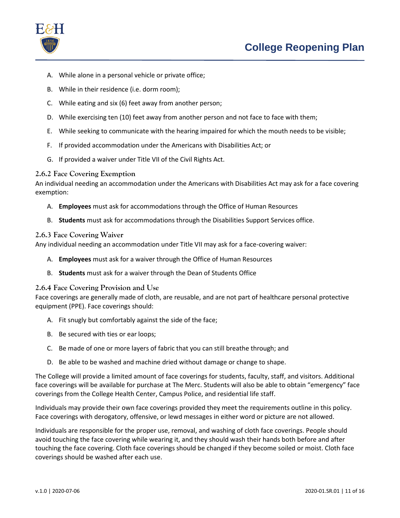

- A. While alone in a personal vehicle or private office;
- B. While in their residence (i.e. dorm room);
- C. While eating and six (6) feet away from another person;
- D. While exercising ten (10) feet away from another person and not face to face with them;
- E. While seeking to communicate with the hearing impaired for which the mouth needs to be visible;
- F. If provided accommodation under the Americans with Disabilities Act; or
- G. If provided a waiver under Title VII of the Civil Rights Act.

#### **2.6.2 Face Covering Exemption**

An individual needing an accommodation under the Americans with Disabilities Act may ask for a face covering exemption:

- A. **Employees** must ask for accommodations through the Office of Human Resources
- B. **Students** must ask for accommodations through the Disabilities Support Services office.

#### **2.6.3 Face Covering Waiver**

Any individual needing an accommodation under Title VII may ask for a face-covering waiver:

- A. **Employees** must ask for a waiver through the Office of Human Resources
- B. **Students** must ask for a waiver through the Dean of Students Office

#### **2.6.4 Face Covering Provision and Use**

Face coverings are generally made of cloth, are reusable, and are not part of healthcare personal protective equipment (PPE). Face coverings should:

- A. Fit snugly but comfortably against the side of the face;
- B. Be secured with ties or ear loops;
- C. Be made of one or more layers of fabric that you can still breathe through; and
- D. Be able to be washed and machine dried without damage or change to shape.

The College will provide a limited amount of face coverings for students, faculty, staff, and visitors. Additional face coverings will be available for purchase at The Merc. Students will also be able to obtain "emergency" face coverings from the College Health Center, Campus Police, and residential life staff.

Individuals may provide their own face coverings provided they meet the requirements outline in this policy. Face coverings with derogatory, offensive, or lewd messages in either word or picture are not allowed.

Individuals are responsible for the proper use, removal, and washing of cloth face coverings. People should avoid touching the face covering while wearing it, and they should wash their hands both before and after touching the face covering. Cloth face coverings should be changed if they become soiled or moist. Cloth face coverings should be washed after each use.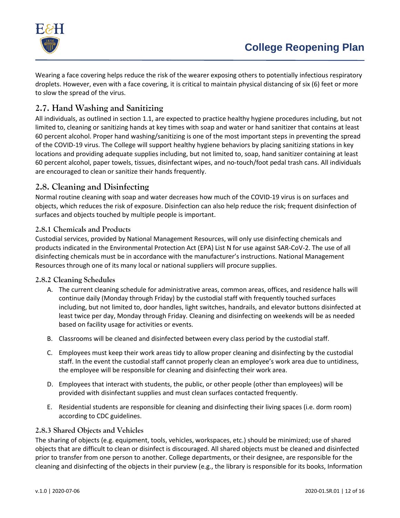

Wearing a face covering helps reduce the risk of the wearer exposing others to potentially infectious respiratory droplets. However, even with a face covering, it is critical to maintain physical distancing of six (6) feet or more to slow the spread of the virus.

# **2.7. Hand Washing and Sanitizing**

All individuals, as outlined in section [1.1,](#page-2-1) are expected to practice healthy hygiene procedures including, but not limited to, cleaning or sanitizing hands at key times with soap and water or hand sanitizer that contains at least 60 percent alcohol. Proper hand washing/sanitizing is one of the most important steps in preventing the spread of the COVID-19 virus. The College will support healthy hygiene behaviors by placing sanitizing stations in key locations and providing adequate supplies including, but not limited to, soap, hand sanitizer containing at least 60 percent alcohol, paper towels, tissues, disinfectant wipes, and no-touch/foot pedal trash cans. All individuals are encouraged to clean or sanitize their hands frequently.

# **2.8. Cleaning and Disinfecting**

Normal routine cleaning with soap and water decreases how much of the COVID-19 virus is on surfaces and objects, which reduces the risk of exposure. Disinfection can also help reduce the risk; frequent disinfection of surfaces and objects touched by multiple people is important.

### **2.8.1 Chemicals and Products**

Custodial services, provided by National Management Resources, will only use disinfecting chemicals and products indicated in the Environmental Protection Act (EPA) List N for use against SAR-CoV-2. The use of all disinfecting chemicals must be in accordance with the manufacturer's instructions. National Management Resources through one of its many local or national suppliers will procure supplies.

#### **2.8.2 Cleaning Schedules**

- A. The current cleaning schedule for administrative areas, common areas, offices, and residence halls will continue daily (Monday through Friday) by the custodial staff with frequently touched surfaces including, but not limited to, door handles, light switches, handrails, and elevator buttons disinfected at least twice per day, Monday through Friday. Cleaning and disinfecting on weekends will be as needed based on facility usage for activities or events.
- B. Classrooms will be cleaned and disinfected between every class period by the custodial staff.
- C. Employees must keep their work areas tidy to allow proper cleaning and disinfecting by the custodial staff. In the event the custodial staff cannot properly clean an employee's work area due to untidiness, the employee will be responsible for cleaning and disinfecting their work area.
- D. Employees that interact with students, the public, or other people (other than employees) will be provided with disinfectant supplies and must clean surfaces contacted frequently.
- E. Residential students are responsible for cleaning and disinfecting their living spaces (i.e. dorm room) according to CDC guidelines.

#### **2.8.3 Shared Objects and Vehicles**

The sharing of objects (e.g. equipment, tools, vehicles, workspaces, etc.) should be minimized; use of shared objects that are difficult to clean or disinfect is discouraged. All shared objects must be cleaned and disinfected prior to transfer from one person to another. College departments, or their designee, are responsible for the cleaning and disinfecting of the objects in their purview (e.g., the library is responsible for its books, Information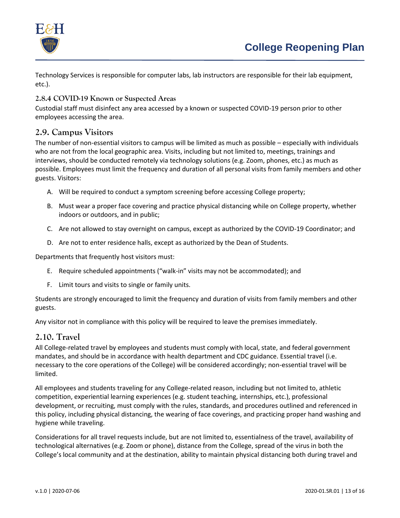

Technology Services is responsible for computer labs, lab instructors are responsible for their lab equipment, etc.).

### **2.8.4 COVID-19 Known or Suspected Areas**

Custodial staff must disinfect any area accessed by a known or suspected COVID-19 person prior to other employees accessing the area.

# **2.9. Campus Visitors**

The number of non-essential visitors to campus will be limited as much as possible – especially with individuals who are not from the local geographic area. Visits, including but not limited to, meetings, trainings and interviews, should be conducted remotely via technology solutions (e.g. Zoom, phones, etc.) as much as possible. Employees must limit the frequency and duration of all personal visits from family members and other guests. Visitors:

- A. Will be required to conduct a symptom screening before accessing College property;
- B. Must wear a proper face covering and practice physical distancing while on College property, whether indoors or outdoors, and in public;
- C. Are not allowed to stay overnight on campus, except as authorized by the COVID-19 Coordinator; and
- D. Are not to enter residence halls, except as authorized by the Dean of Students.

Departments that frequently host visitors must:

- E. Require scheduled appointments ("walk-in" visits may not be accommodated); and
- F. Limit tours and visits to single or family units.

Students are strongly encouraged to limit the frequency and duration of visits from family members and other guests.

Any visitor not in compliance with this policy will be required to leave the premises immediately.

## **2.10. Travel**

All College-related travel by employees and students must comply with local, state, and federal government mandates, and should be in accordance with health department and CDC guidance. Essential travel (i.e. necessary to the core operations of the College) will be considered accordingly; non-essential travel will be limited.

All employees and students traveling for any College-related reason, including but not limited to, athletic competition, experiential learning experiences (e.g. student teaching, internships, etc.), professional development, or recruiting, must comply with the rules, standards, and procedures outlined and referenced in this policy, including physical distancing, the wearing of face coverings, and practicing proper hand washing and hygiene while traveling.

Considerations for all travel requests include, but are not limited to, essentialness of the travel, availability of technological alternatives (e.g. Zoom or phone), distance from the College, spread of the virus in both the College's local community and at the destination, ability to maintain physical distancing both during travel and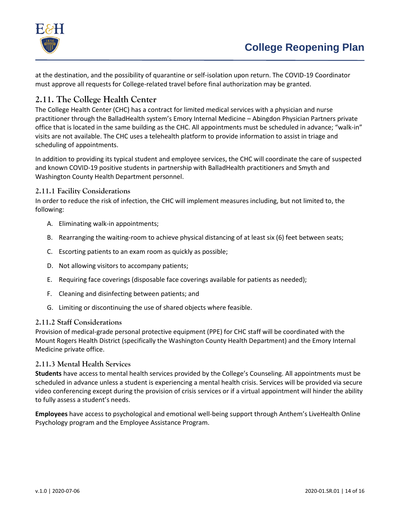

at the destination, and the possibility of quarantine or self-isolation upon return. The COVID-19 Coordinator must approve all requests for College-related travel before final authorization may be granted.

# **2.11. The College Health Center**

The College Health Center (CHC) has a contract for limited medical services with a physician and nurse practitioner through the BalladHealth system's Emory Internal Medicine – Abingdon Physician Partners private office that is located in the same building as the CHC. All appointments must be scheduled in advance; "walk-in" visits are not available. The CHC uses a telehealth platform to provide information to assist in triage and scheduling of appointments.

In addition to providing its typical student and employee services, the CHC will coordinate the care of suspected and known COVID-19 positive students in partnership with BalladHealth practitioners and Smyth and Washington County Health Department personnel.

#### **2.11.1 Facility Considerations**

In order to reduce the risk of infection, the CHC will implement measures including, but not limited to, the following:

- A. Eliminating walk-in appointments;
- B. Rearranging the waiting-room to achieve physical distancing of at least six (6) feet between seats;
- C. Escorting patients to an exam room as quickly as possible;
- D. Not allowing visitors to accompany patients;
- E. Requiring face coverings (disposable face coverings available for patients as needed);
- F. Cleaning and disinfecting between patients; and
- G. Limiting or discontinuing the use of shared objects where feasible.

#### **2.11.2 Staff Considerations**

Provision of medical-grade personal protective equipment (PPE) for CHC staff will be coordinated with the Mount Rogers Health District (specifically the Washington County Health Department) and the Emory Internal Medicine private office.

#### **2.11.3 Mental Health Services**

**Students** have access to mental health services provided by the College's Counseling. All appointments must be scheduled in advance unless a student is experiencing a mental health crisis. Services will be provided via secure video conferencing except during the provision of crisis services or if a virtual appointment will hinder the ability to fully assess a student's needs.

**Employees** have access to psychological and emotional well-being support through Anthem's LiveHealth Online Psychology program and the Employee Assistance Program.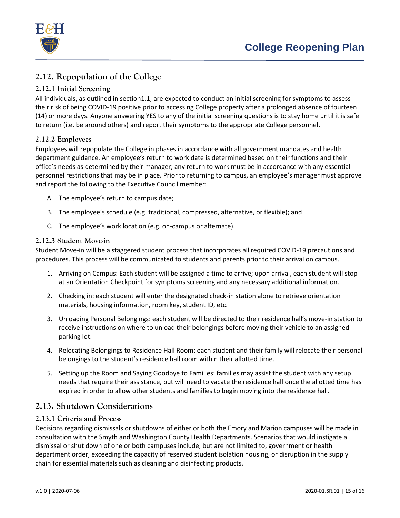

# **2.12. Repopulation of the College**

### **2.12.1 Initial Screening**

All individuals, as outlined in sectio[n1.1,](#page-2-1) are expected to conduct an initial screening for symptoms to assess their risk of being COVID-19 positive prior to accessing College property after a prolonged absence of fourteen (14) or more days. Anyone answering YES to any of the initial screening questions is to stay home until it is safe to return (i.e. be around others) and report their symptoms to the appropriate College personnel.

#### **2.12.2 Employees**

Employees will repopulate the College in phases in accordance with all government mandates and health department guidance. An employee's return to work date is determined based on their functions and their office's needs as determined by their manager; any return to work must be in accordance with any essential personnel restrictions that may be in place. Prior to returning to campus, an employee's manager must approve and report the following to the Executive Council member:

- A. The employee's return to campus date;
- B. The employee's schedule (e.g. traditional, compressed, alternative, or flexible); and
- C. The employee's work location (e.g. on-campus or alternate).

#### **2.12.3 Student Move-in**

Student Move-in will be a staggered student process that incorporates all required COVID-19 precautions and procedures. This process will be communicated to students and parents prior to their arrival on campus.

- 1. Arriving on Campus: Each student will be assigned a time to arrive; upon arrival, each student will stop at an Orientation Checkpoint for symptoms screening and any necessary additional information.
- 2. Checking in: each student will enter the designated check-in station alone to retrieve orientation materials, housing information, room key, student ID, etc.
- 3. Unloading Personal Belongings: each student will be directed to their residence hall's move-in station to receive instructions on where to unload their belongings before moving their vehicle to an assigned parking lot.
- 4. Relocating Belongings to Residence Hall Room: each student and their family will relocate their personal belongings to the student's residence hall room within their allotted time.
- 5. Setting up the Room and Saying Goodbye to Families: families may assist the student with any setup needs that require their assistance, but will need to vacate the residence hall once the allotted time has expired in order to allow other students and families to begin moving into the residence hall.

# **2.13. Shutdown Considerations**

#### **2.13.1 Criteria and Process**

Decisions regarding dismissals or shutdowns of either or both the Emory and Marion campuses will be made in consultation with the Smyth and Washington County Health Departments. Scenarios that would instigate a dismissal or shut down of one or both campuses include, but are not limited to, government or health department order, exceeding the capacity of reserved student isolation housing, or disruption in the supply chain for essential materials such as cleaning and disinfecting products.